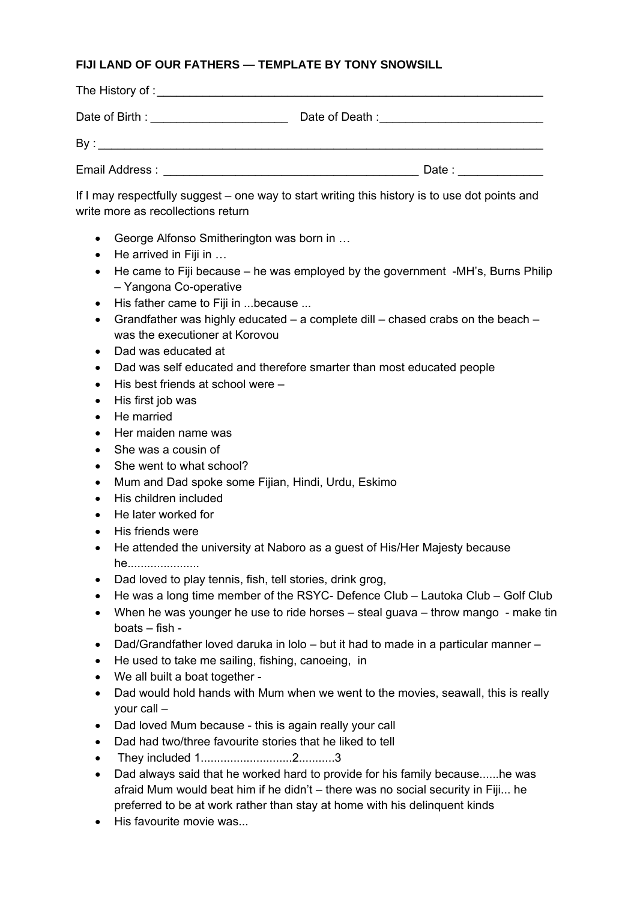## **FIJI LAND OF OUR FATHERS — TEMPLATE BY TONY SNOWSILL**

| Date of Birth: The Contract of Birth State of Birth State of Birth State of Birth State of Birth State of Birth State of Birth State of Birth State of Birth State of Birth State of Birth State of Birth State of Birth State | Date of Death : <u>contained</u> and the part of Death : |
|--------------------------------------------------------------------------------------------------------------------------------------------------------------------------------------------------------------------------------|----------------------------------------------------------|
|                                                                                                                                                                                                                                |                                                          |
| Email Address : The Contract of the Contract of the Contract of the Contract of the Contract of the Contract of the Contract of the Contract of the Contract of the Contract of the Contract of the Contract of the Contract o | Date: __________                                         |

If I may respectfully suggest – one way to start writing this history is to use dot points and write more as recollections return

- George Alfonso Smitherington was born in …
- He arrived in Fiji in ...
- He came to Fiji because he was employed by the government -MH's, Burns Philip – Yangona Co-operative
- His father came to Fiji in ...because ...
- Grandfather was highly educated  $-$  a complete dill  $-$  chased crabs on the beach  $$ was the executioner at Korovou
- Dad was educated at
- Dad was self educated and therefore smarter than most educated people
- His best friends at school were –
- His first job was
- He married
- Her maiden name was
- She was a cousin of
- She went to what school?
- Mum and Dad spoke some Fijian, Hindi, Urdu, Eskimo
- His children included
- He later worked for
- His friends were
- He attended the university at Naboro as a guest of His/Her Majesty because he......................
- Dad loved to play tennis, fish, tell stories, drink grog,
- He was a long time member of the RSYC- Defence Club Lautoka Club Golf Club
- When he was younger he use to ride horses steal guava throw mango make tin boats – fish -
- Dad/Grandfather loved daruka in lolo but it had to made in a particular manner –
- He used to take me sailing, fishing, canoeing, in
- We all built a boat together -
- Dad would hold hands with Mum when we went to the movies, seawall, this is really your call –
- Dad loved Mum because this is again really your call
- Dad had two/three favourite stories that he liked to tell
- They included 1............................2...........3
- Dad always said that he worked hard to provide for his family because......he was afraid Mum would beat him if he didn't – there was no social security in Fiji... he preferred to be at work rather than stay at home with his delinquent kinds
- His favourite movie was...